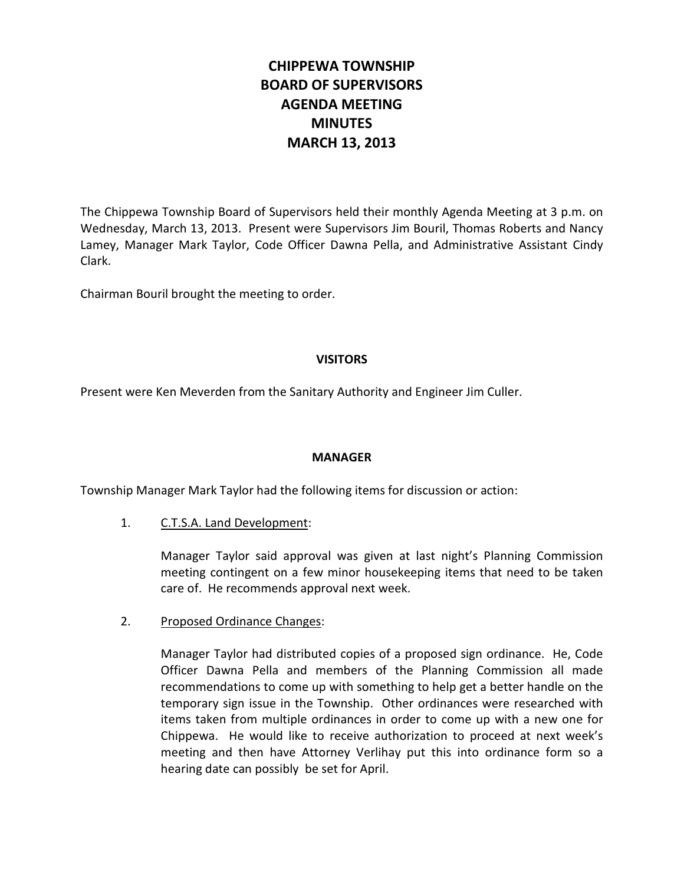# **CHIPPEWA TOWNSHIP BOARD OF SUPERVISORS AGENDA MEETING MINUTES MARCH 13, 2013**

The Chippewa Township Board of Supervisors held their monthly Agenda Meeting at 3 p.m. on Wednesday, March 13, 2013. Present were Supervisors Jim Bouril, Thomas Roberts and Nancy Lamey, Manager Mark Taylor, Code Officer Dawna Pella, and Administrative Assistant Cindy Clark.

Chairman Bouril brought the meeting to order.

## **VISITORS**

Present were Ken Meverden from the Sanitary Authority and Engineer Jim Culler.

#### **MANAGER**

Township Manager Mark Taylor had the following items for discussion or action:

1. C.T.S.A. Land Development:

Manager Taylor said approval was given at last night's Planning Commission meeting contingent on a few minor housekeeping items that need to be taken care of. He recommends approval next week.

2. Proposed Ordinance Changes:

Manager Taylor had distributed copies of a proposed sign ordinance. He, Code Officer Dawna Pella and members of the Planning Commission all made recommendations to come up with something to help get a better handle on the temporary sign issue in the Township. Other ordinances were researched with items taken from multiple ordinances in order to come up with a new one for Chippewa. He would like to receive authorization to proceed at next week's meeting and then have Attorney Verlihay put this into ordinance form so a hearing date can possibly be set for April.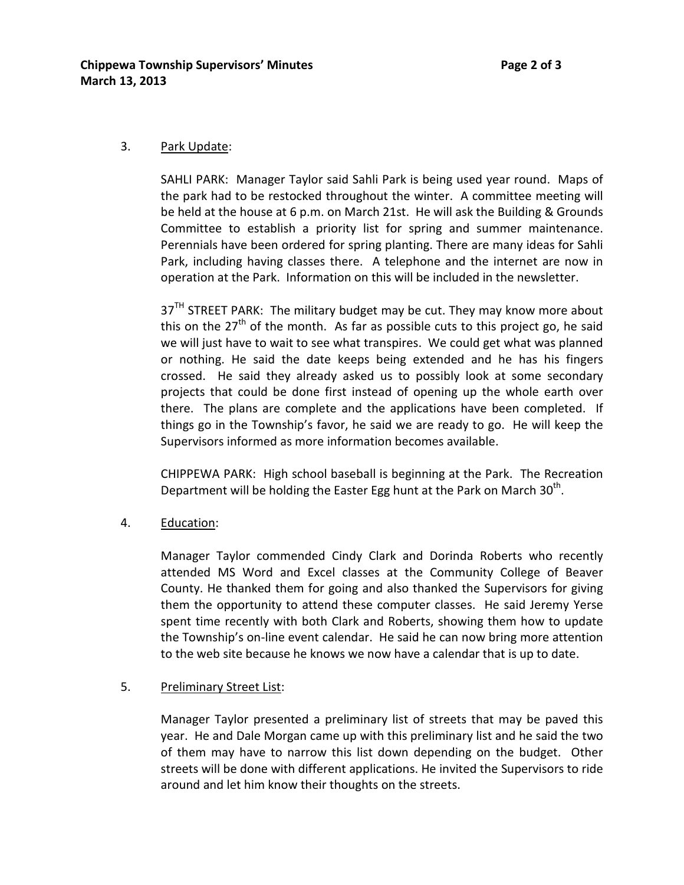## 3. Park Update:

SAHLI PARK: Manager Taylor said Sahli Park is being used year round. Maps of the park had to be restocked throughout the winter. A committee meeting will be held at the house at 6 p.m. on March 21st. He will ask the Building & Grounds Committee to establish a priority list for spring and summer maintenance. Perennials have been ordered for spring planting. There are many ideas for Sahli Park, including having classes there. A telephone and the internet are now in operation at the Park. Information on this will be included in the newsletter.

 $37<sup>TH</sup>$  STREET PARK: The military budget may be cut. They may know more about this on the  $27<sup>th</sup>$  of the month. As far as possible cuts to this project go, he said we will just have to wait to see what transpires. We could get what was planned or nothing. He said the date keeps being extended and he has his fingers crossed. He said they already asked us to possibly look at some secondary projects that could be done first instead of opening up the whole earth over there. The plans are complete and the applications have been completed. If things go in the Township's favor, he said we are ready to go. He will keep the Supervisors informed as more information becomes available.

CHIPPEWA PARK: High school baseball is beginning at the Park. The Recreation Department will be holding the Easter Egg hunt at the Park on March  $30<sup>th</sup>$ .

4. Education:

Manager Taylor commended Cindy Clark and Dorinda Roberts who recently attended MS Word and Excel classes at the Community College of Beaver County. He thanked them for going and also thanked the Supervisors for giving them the opportunity to attend these computer classes. He said Jeremy Yerse spent time recently with both Clark and Roberts, showing them how to update the Township's on-line event calendar. He said he can now bring more attention to the web site because he knows we now have a calendar that is up to date.

#### 5. Preliminary Street List:

Manager Taylor presented a preliminary list of streets that may be paved this year. He and Dale Morgan came up with this preliminary list and he said the two of them may have to narrow this list down depending on the budget. Other streets will be done with different applications. He invited the Supervisors to ride around and let him know their thoughts on the streets.